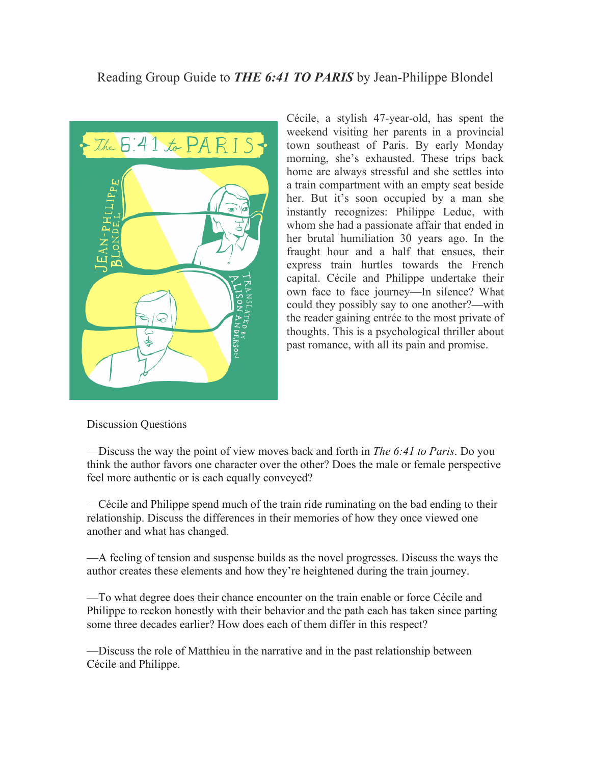## Reading Group Guide to *THE 6:41 TO PARIS* by Jean-Philippe Blondel



Cécile, a stylish 47-year-old, has spent the weekend visiting her parents in a provincial town southeast of Paris. By early Monday morning, she's exhausted. These trips back home are always stressful and she settles into a train compartment with an empty seat beside her. But it's soon occupied by a man she instantly recognizes: Philippe Leduc, with whom she had a passionate affair that ended in her brutal humiliation 30 years ago. In the fraught hour and a half that ensues, their express train hurtles towards the French capital. Cécile and Philippe undertake their own face to face journey—In silence? What could they possibly say to one another?—with the reader gaining entrée to the most private of thoughts. This is a psychological thriller about past romance, with all its pain and promise.

## Discussion Questions

—Discuss the way the point of view moves back and forth in *The 6:41 to Paris*. Do you think the author favors one character over the other? Does the male or female perspective feel more authentic or is each equally conveyed?

—Cécile and Philippe spend much of the train ride ruminating on the bad ending to their relationship. Discuss the differences in their memories of how they once viewed one another and what has changed.

—A feeling of tension and suspense builds as the novel progresses. Discuss the ways the author creates these elements and how they're heightened during the train journey.

—To what degree does their chance encounter on the train enable or force Cécile and Philippe to reckon honestly with their behavior and the path each has taken since parting some three decades earlier? How does each of them differ in this respect?

—Discuss the role of Matthieu in the narrative and in the past relationship between Cécile and Philippe.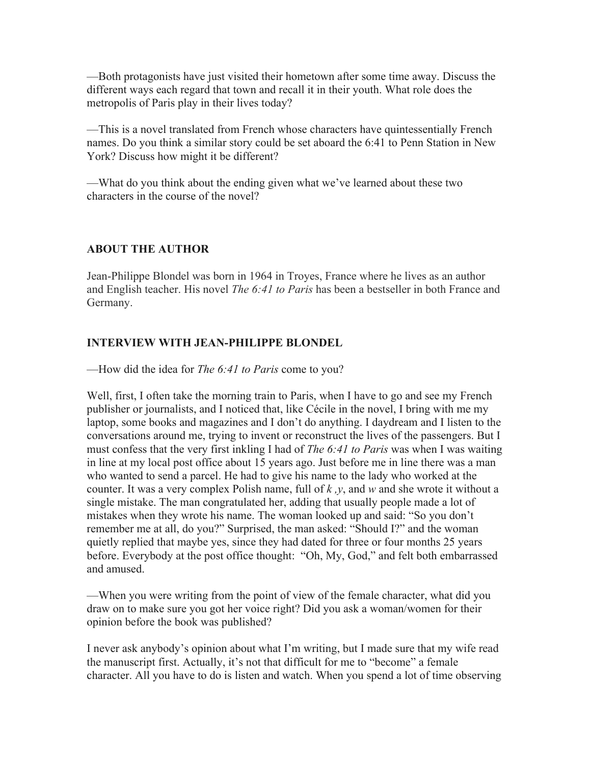—Both protagonists have just visited their hometown after some time away. Discuss the different ways each regard that town and recall it in their youth. What role does the metropolis of Paris play in their lives today?

—This is a novel translated from French whose characters have quintessentially French names. Do you think a similar story could be set aboard the 6:41 to Penn Station in New York? Discuss how might it be different?

—What do you think about the ending given what we've learned about these two characters in the course of the novel?

## **ABOUT THE AUTHOR**

Jean-Philippe Blondel was born in 1964 in Troyes, France where he lives as an author and English teacher. His novel *The 6:41 to Paris* has been a bestseller in both France and Germany.

## **INTERVIEW WITH JEAN-PHILIPPE BLONDEL**

—How did the idea for *The 6:41 to Paris* come to you?

Well, first, I often take the morning train to Paris, when I have to go and see my French publisher or journalists, and I noticed that, like Cécile in the novel, I bring with me my laptop, some books and magazines and I don't do anything. I daydream and I listen to the conversations around me, trying to invent or reconstruct the lives of the passengers. But I must confess that the very first inkling I had of *The 6:41 to Paris* was when I was waiting in line at my local post office about 15 years ago. Just before me in line there was a man who wanted to send a parcel. He had to give his name to the lady who worked at the counter. It was a very complex Polish name, full of *k ,y*, and *w* and she wrote it without a single mistake. The man congratulated her, adding that usually people made a lot of mistakes when they wrote his name. The woman looked up and said: "So you don't remember me at all, do you?" Surprised, the man asked: "Should I?" and the woman quietly replied that maybe yes, since they had dated for three or four months 25 years before. Everybody at the post office thought: "Oh, My, God," and felt both embarrassed and amused.

—When you were writing from the point of view of the female character, what did you draw on to make sure you got her voice right? Did you ask a woman/women for their opinion before the book was published?

I never ask anybody's opinion about what I'm writing, but I made sure that my wife read the manuscript first. Actually, it's not that difficult for me to "become" a female character. All you have to do is listen and watch. When you spend a lot of time observing